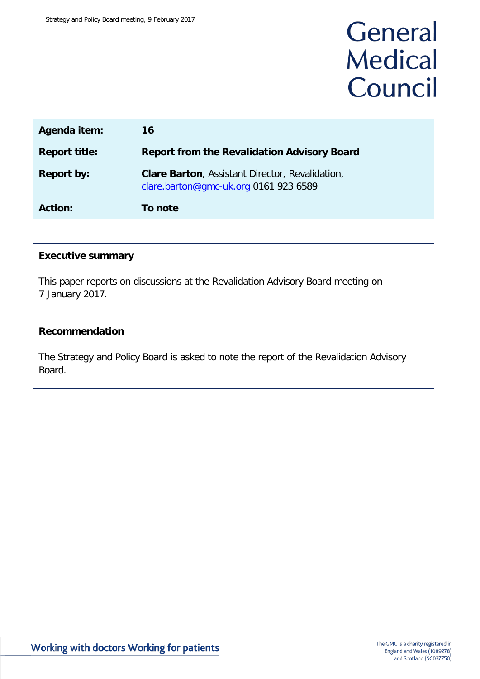# General **Medical** Council

| Agenda item:         | 16                                                                                              |
|----------------------|-------------------------------------------------------------------------------------------------|
| <b>Report title:</b> | <b>Report from the Revalidation Advisory Board</b>                                              |
| <b>Report by:</b>    | <b>Clare Barton, Assistant Director, Revalidation,</b><br>clare.barton@gmc-uk.org 0161 923 6589 |
| <b>Action:</b>       | To note                                                                                         |

## **Executive summary**

This paper reports on discussions at the Revalidation Advisory Board meeting on 7 January 2017.

## **Recommendation**

The Strategy and Policy Board is asked to note the report of the Revalidation Advisory Board.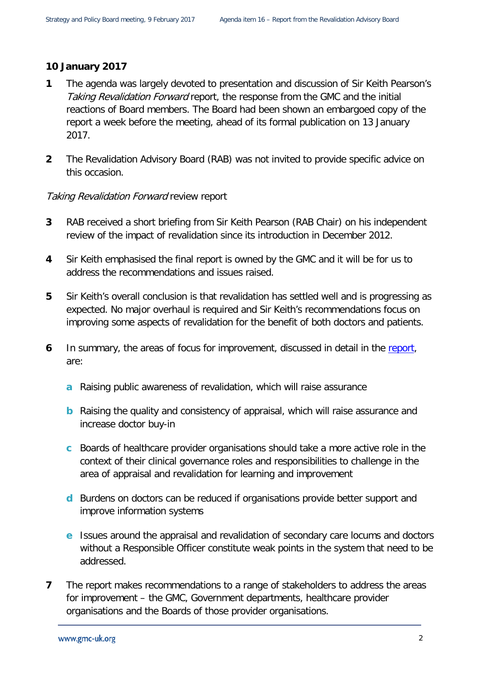## **10 January 2017**

- **1** The agenda was largely devoted to presentation and discussion of Sir Keith Pearson's Taking Revalidation Forward report, the response from the GMC and the initial reactions of Board members. The Board had been shown an embargoed copy of the report a week before the meeting, ahead of its formal publication on 13 January 2017.
- **2** The Revalidation Advisory Board (RAB) was not invited to provide specific advice on this occasion.

## **Taking Revalidation Forward review report**

- **3** RAB received a short briefing from Sir Keith Pearson (RAB Chair) on his independent review of the impact of revalidation since its introduction in December 2012.
- **4** Sir Keith emphasised the final report is owned by the GMC and it will be for us to address the recommendations and issues raised.
- **5** Sir Keith's overall conclusion is that revalidation has settled well and is progressing as expected. No major overhaul is required and Sir Keith's recommendations focus on improving some aspects of revalidation for the benefit of both doctors and patients.
- **6** In summary, the areas of focus for improvement, discussed in detail in the [report,](http://www.gmc-uk.org/Taking_revalidation_forward___Improving_the_process_of_relicensing_for_doctors.pdf_68683704.pdf) are:
	- **a** Raising public awareness of revalidation, which will raise assurance
	- **b** Raising the quality and consistency of appraisal, which will raise assurance and increase doctor buy-in
	- **c** Boards of healthcare provider organisations should take a more active role in the context of their clinical governance roles and responsibilities to challenge in the area of appraisal and revalidation for learning and improvement
	- **d** Burdens on doctors can be reduced if organisations provide better support and improve information systems
	- **e** Issues around the appraisal and revalidation of secondary care locums and doctors without a Responsible Officer constitute weak points in the system that need to be addressed.
- **7** The report makes recommendations to a range of stakeholders to address the areas for improvement – the GMC, Government departments, healthcare provider organisations and the Boards of those provider organisations.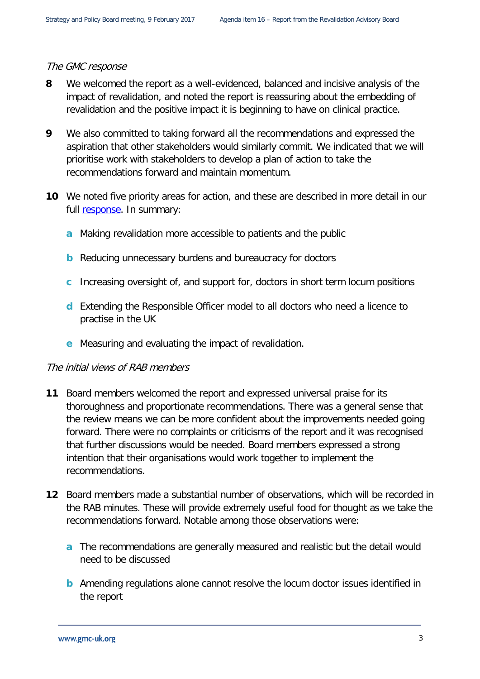#### The GMC response

- **8** We welcomed the report as a well-evidenced, balanced and incisive analysis of the impact of revalidation, and noted the report is reassuring about the embedding of revalidation and the positive impact it is beginning to have on clinical practice.
- **9** We also committed to taking forward all the recommendations and expressed the aspiration that other stakeholders would similarly commit. We indicated that we will prioritise work with stakeholders to develop a plan of action to take the recommendations forward and maintain momentum.
- **10** We noted five priority areas for action, and these are described in more detail in our full [response.](http://www.gmc-uk.org/RT___Our_response_to_Sir_Keith_Pearson_s_review_of_revalidation___DC9676.pdf_68684817.pdf) In summary:
	- **a** Making revalidation more accessible to patients and the public
	- **b** Reducing unnecessary burdens and bureaucracy for doctors
	- **c** Increasing oversight of, and support for, doctors in short term locum positions
	- **d** Extending the Responsible Officer model to all doctors who need a licence to practise in the UK
	- **e** Measuring and evaluating the impact of revalidation.

## The initial views of RAB members

- **11** Board members welcomed the report and expressed universal praise for its thoroughness and proportionate recommendations. There was a general sense that the review means we can be more confident about the improvements needed going forward. There were no complaints or criticisms of the report and it was recognised that further discussions would be needed. Board members expressed a strong intention that their organisations would work together to implement the recommendations.
- **12** Board members made a substantial number of observations, which will be recorded in the RAB minutes. These will provide extremely useful food for thought as we take the recommendations forward. Notable among those observations were:
	- **a** The recommendations are generally measured and realistic but the detail would need to be discussed
	- **b** Amending regulations alone cannot resolve the locum doctor issues identified in the report